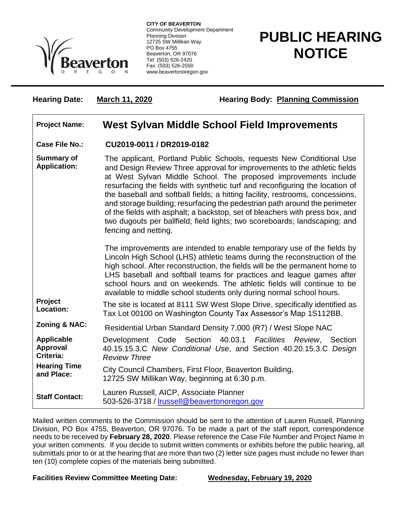

**CITY OF BEAVERTON** Community Development Department Planning Division 12725 SW Millikan Way PO Box 4755 Beaverton, OR 97076 Tel: (503) 526-2420 Fax: (503) 526-2550 www.beavertonoregon.gov

## **PUBLIC HEARING NOTICE**

**Hearing Date:** March 11, 2020 **Hearing Body: Planning Commission** 

## **Project Name: West Sylvan Middle School Field Improvements**

**Case File No.: CU2019-0011 / DR2019-0182**

**Summary of Application:** The applicant, Portland Public Schools, requests New Conditional Use and Design Review Three approval for improvements to the athletic fields at West Sylvan Middle School. The proposed improvements include resurfacing the fields with synthetic turf and reconfiguring the location of the baseball and softball fields; a hitting facility, restrooms, concessions, and storage building; resurfacing the pedestrian path around the perimeter of the fields with asphalt; a backstop, set of bleachers with press box, and two dugouts per ballfield; field lights; two scoreboards; landscaping; and fencing and netting.

> The improvements are intended to enable temporary use of the fields by Lincoln High School (LHS) athletic teams during the reconstruction of the high school. After reconstruction, the fields will be the permanent home to LHS baseball and softball teams for practices and league games after school hours and on weekends. The athletic fields will continue to be available to middle school students only during normal school hours.

**Project Location:** The site is located at 8111 SW West Slope Drive, specifically identified as Tax Lot 00100 on Washington County Tax Assessor's Map 1S112BB.

**Zoning & NAC:** Residential Urban Standard Density 7,000 (R7) / West Slope NAC

**Applicable Approval Criteria:** Development Code Section 40.03.1 *Facilities Review*, Section 40.15.15.3.C *New Conditional Use*, and Section 40.20.15.3.C *Design Review Three* **Hearing Time and Place:** City Council Chambers, First Floor, Beaverton Building, 12725 SW Millikan Way, beginning at 6:30 p.m.

**Staff Contact:** Lauren Russell, AICP, Associate Planner 503-526-3718 / [lrussell@beavertonoregon.gov](mailto:lrussell@beavertonoregon.gov)

Mailed written comments to the Commission should be sent to the attention of Lauren Russell, Planning Division, PO Box 4755, Beaverton, OR 97076. To be made a part of the staff report, correspondence needs to be received by **February 28, 2020**. Please reference the Case File Number and Project Name in your written comments. If you decide to submit written comments or exhibits before the public hearing, all submittals prior to or at the hearing that are more than two (2) letter size pages must include no fewer than ten (10) complete copies of the materials being submitted.

**Facilities Review Committee Meeting Date: Wednesday, February 19, 2020**